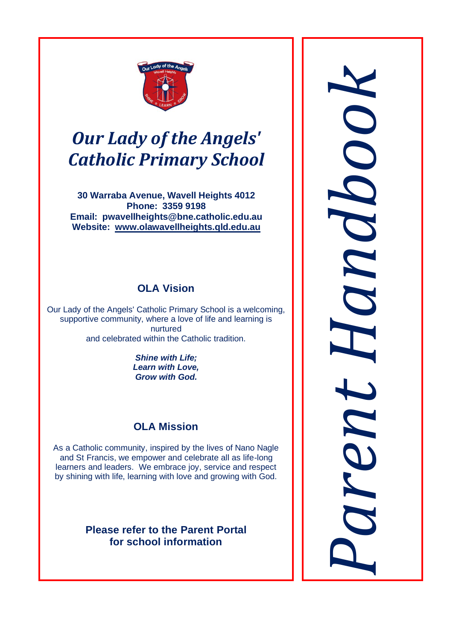

# *Our Lady of the Angels' Catholic Primary School*

**30 Warraba Avenue, Wavell Heights 4012 Phone: 3359 9198 Email: pwavellheights@bne.catholic.edu.au Website: [www.olawavellheights.qld.edu.au](http://www.olawavellheights.qld.edu.au/)**

## **OLA Vision**

Our Lady of the Angels' Catholic Primary School is a welcoming, supportive community, where a love of life and learning is nurtured and celebrated within the Catholic tradition.

> *Shine with Life; Learn with Love, Grow with God.*

## **OLA Mission**

As a Catholic community, inspired by the lives of Nano Nagle and St Francis, we empower and celebrate all as life-long learners and leaders. We embrace joy, service and respect by shining with life, learning with love and growing with God.

> **Please refer to the Parent Portal for school information**

*kParent Handboo*  $\boldsymbol{a}$ ren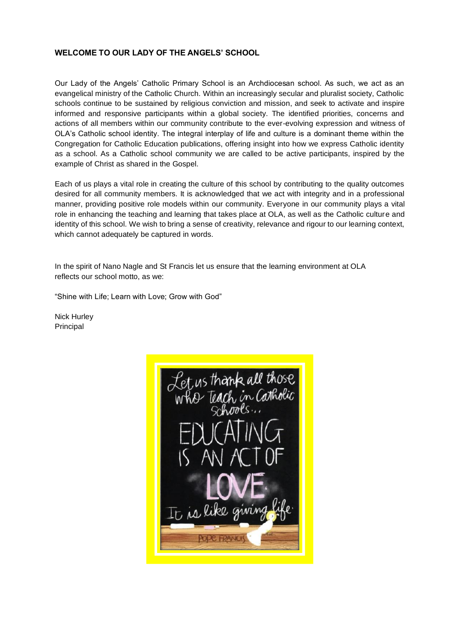## **WELCOME TO OUR LADY OF THE ANGELS' SCHOOL**

Our Lady of the Angels' Catholic Primary School is an Archdiocesan school. As such, we act as an evangelical ministry of the Catholic Church. Within an increasingly secular and pluralist society, Catholic schools continue to be sustained by religious conviction and mission, and seek to activate and inspire informed and responsive participants within a global society. The identified priorities, concerns and actions of all members within our community contribute to the ever-evolving expression and witness of OLA's Catholic school identity. The integral interplay of life and culture is a dominant theme within the Congregation for Catholic Education publications, offering insight into how we express Catholic identity as a school. As a Catholic school community we are called to be active participants, inspired by the example of Christ as shared in the Gospel.

Each of us plays a vital role in creating the culture of this school by contributing to the quality outcomes desired for all community members. It is acknowledged that we act with integrity and in a professional manner, providing positive role models within our community. Everyone in our community plays a vital role in enhancing the teaching and learning that takes place at OLA, as well as the Catholic culture and identity of this school. We wish to bring a sense of creativity, relevance and rigour to our learning context, which cannot adequately be captured in words.

In the spirit of Nano Nagle and St Francis let us ensure that the learning environment at OLA reflects our school motto, as we:

"Shine with Life; Learn with Love; Grow with God"

Nick Hurley Principal

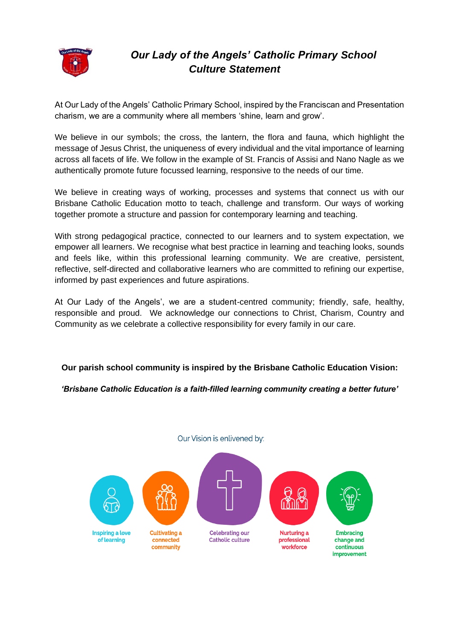

## *Our Lady of the Angels' Catholic Primary School Culture Statement*

At Our Lady of the Angels' Catholic Primary School, inspired by the Franciscan and Presentation charism, we are a community where all members 'shine, learn and grow'.

We believe in our symbols; the cross, the lantern, the flora and fauna, which highlight the message of Jesus Christ, the uniqueness of every individual and the vital importance of learning across all facets of life. We follow in the example of St. Francis of Assisi and Nano Nagle as we authentically promote future focussed learning, responsive to the needs of our time.

We believe in creating ways of working, processes and systems that connect us with our Brisbane Catholic Education motto to teach, challenge and transform. Our ways of working together promote a structure and passion for contemporary learning and teaching.

With strong pedagogical practice, connected to our learners and to system expectation, we empower all learners. We recognise what best practice in learning and teaching looks, sounds and feels like, within this professional learning community. We are creative, persistent, reflective, self-directed and collaborative learners who are committed to refining our expertise, informed by past experiences and future aspirations.

At Our Lady of the Angels', we are a student-centred community; friendly, safe, healthy, responsible and proud. We acknowledge our connections to Christ, Charism, Country and Community as we celebrate a collective responsibility for every family in our care.

**Our parish school community is inspired by the Brisbane Catholic Education Vision:**

*'Brisbane Catholic Education is a faith-filled learning community creating a better future'*

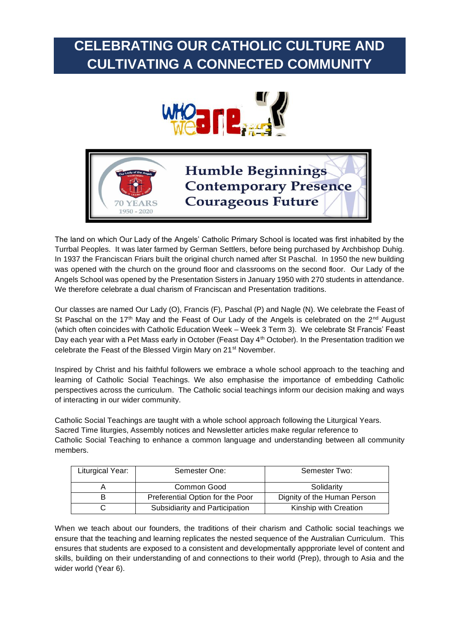# **CELEBRATING OUR CATHOLIC CULTURE AND CULTIVATING A CONNECTED COMMUNITY**



# **Humble Beginnings Contemporary Presence Courageous Future**

The land on which Our Lady of the Angels' Catholic Primary School is located was first inhabited by the Turrbal Peoples. It was later farmed by German Settlers, before being purchased by Archbishop Duhig. In 1937 the Franciscan Friars built the original church named after St Paschal. In 1950 the new building was opened with the church on the ground floor and classrooms on the second floor. Our Lady of the Angels School was opened by the Presentation Sisters in January 1950 with 270 students in attendance. We therefore celebrate a dual charism of Franciscan and Presentation traditions.

 $1950 - 2020$ 

Our classes are named Our Lady (O), Francis (F), Paschal (P) and Nagle (N). We celebrate the Feast of St Paschal on the 17<sup>th</sup> May and the Feast of Our Lady of the Angels is celebrated on the 2<sup>nd</sup> August (which often coincides with Catholic Education Week – Week 3 Term 3). We celebrate St Francis' Feast Day each year with a Pet Mass early in October (Feast Day 4<sup>th</sup> October). In the Presentation tradition we celebrate the Feast of the Blessed Virgin Mary on 21st November.

Inspired by Christ and his faithful followers we embrace a whole school approach to the teaching and learning of Catholic Social Teachings. We also emphasise the importance of embedding Catholic perspectives across the curriculum. The Catholic social teachings inform our decision making and ways of interacting in our wider community.

Catholic Social Teachings are taught with a whole school approach following the Liturgical Years. Sacred Time liturgies, Assembly notices and Newsletter articles make regular reference to Catholic Social Teaching to enhance a common language and understanding between all community members.

| Liturgical Year: | Semester One:                    | Semester Two:               |
|------------------|----------------------------------|-----------------------------|
|                  | Common Good                      | Solidarity                  |
|                  | Preferential Option for the Poor | Dignity of the Human Person |
|                  | Subsidiarity and Participation   | Kinship with Creation       |

When we teach about our founders, the traditions of their charism and Catholic social teachings we ensure that the teaching and learning replicates the nested sequence of the Australian Curriculum. This ensures that students are exposed to a consistent and developmentally appproriate level of content and skills, building on their understanding of and connections to their world (Prep), through to Asia and the wider world (Year 6).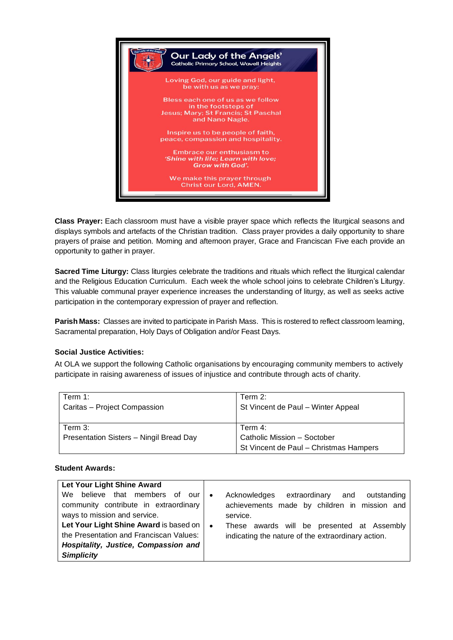

**Class Prayer:** Each classroom must have a visible prayer space which reflects the liturgical seasons and displays symbols and artefacts of the Christian tradition. Class prayer provides a daily opportunity to share prayers of praise and petition. Morning and afternoon prayer, Grace and Franciscan Five each provide an opportunity to gather in prayer.

**Sacred Time Liturgy:** Class liturgies celebrate the traditions and rituals which reflect the liturgical calendar and the Religious Education Curriculum. Each week the whole school joins to celebrate Children's Liturgy. This valuable communal prayer experience increases the understanding of liturgy, as well as seeks active participation in the contemporary expression of prayer and reflection.

**Parish Mass:** Classes are invited to participate in Parish Mass. This is rostered to reflect classroom learning, Sacramental preparation, Holy Days of Obligation and/or Feast Days.

## **Social Justice Activities:**

At OLA we support the following Catholic organisations by encouraging community members to actively participate in raising awareness of issues of injustice and contribute through acts of charity.

| Term 1:                                 | Term $2$ :                             |
|-----------------------------------------|----------------------------------------|
| Caritas - Project Compassion            | St Vincent de Paul - Winter Appeal     |
|                                         |                                        |
| Term 3:                                 | Term $4$ :                             |
| Presentation Sisters - Ningil Bread Day | Catholic Mission - Soctober            |
|                                         | St Vincent de Paul - Christmas Hampers |

## **Student Awards:**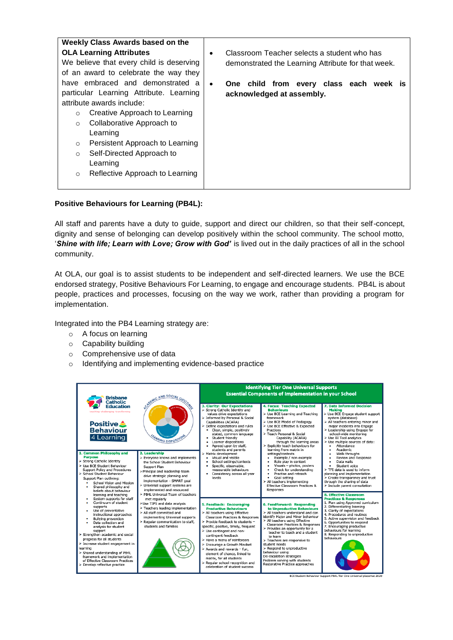| Weekly Class Awards based on the           |  |                                                    |
|--------------------------------------------|--|----------------------------------------------------|
| <b>OLA Learning Attributes</b>             |  | Classroom Teacher selects a student who has        |
| We believe that every child is deserving   |  | demonstrated the Learning Attribute for that week. |
| of an award to celebrate the way they      |  |                                                    |
| have embraced and demonstrated a           |  | One child from every class each week is            |
| particular Learning Attribute. Learning    |  | acknowledged at assembly.                          |
| attribute awards include:                  |  |                                                    |
| Creative Approach to Learning<br>$\circ$   |  |                                                    |
| Collaborative Approach to<br>$\circ$       |  |                                                    |
| Learning                                   |  |                                                    |
| Persistent Approach to Learning<br>$\circ$ |  |                                                    |
| Self-Directed Approach to<br>$\circ$       |  |                                                    |
| Learning                                   |  |                                                    |
| Reflective Approach to Learning<br>$\circ$ |  |                                                    |
|                                            |  |                                                    |

## **Positive Behaviours for Learning (PB4L):**

All staff and parents have a duty to guide, support and direct our children, so that their self-concept, dignity and sense of belonging can develop positively within the school community. The school motto, '*Shine with life; Learn with Love; Grow with God'* is lived out in the daily practices of all in the school community.

At OLA, our goal is to assist students to be independent and self-directed learners. We use the BCE endorsed strategy, Positive Behaviours For Learning, to engage and encourage students. PB4L is about people, practices and processes, focusing on the way we work, rather than providing a program for implementation.

Integrated into the PB4 Learning strategy are:

- o A focus on learning
- o Capability building
- o Comprehensive use of data
- o Identifying and implementing evidence-based practice

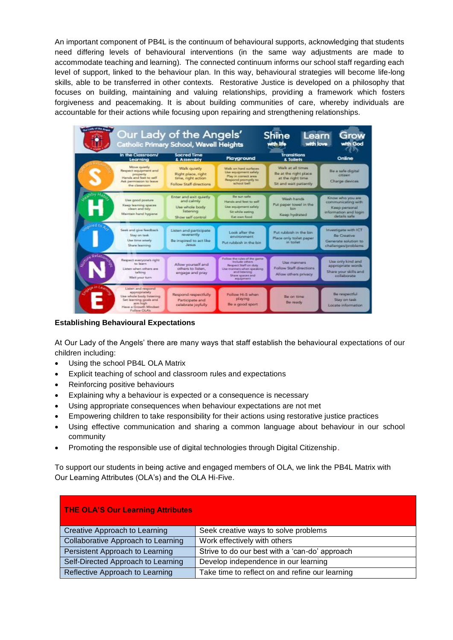An important component of PB4L is the continuum of behavioural supports, acknowledging that students need differing levels of behavioural interventions (in the same way adjustments are made to accommodate teaching and learning). The connected continuum informs our school staff regarding each level of support, linked to the behaviour plan. In this way, behavioural strategies will become life-long skills, able to be transferred in other contexts. Restorative Justice is developed on a philosophy that focuses on building, maintaining and valuing relationships, providing a framework which fosters forgiveness and peacemaking. It is about building communities of care, whereby individuals are accountable for their actions while focusing upon repairing and strengthening relationships.



**Establishing Behavioural Expectations** 

At Our Lady of the Angels' there are many ways that staff establish the behavioural expectations of our children including:

- Using the school PB4L OLA Matrix
- Explicit teaching of school and classroom rules and expectations
- Reinforcing positive behaviours
- Explaining why a behaviour is expected or a consequence is necessary
- Using appropriate consequences when behaviour expectations are not met
- Empowering children to take responsibility for their actions using restorative justice practices
- Using effective communication and sharing a common language about behaviour in our school community
- Promoting the responsible use of digital technologies through Digital Citizenship.

To support our students in being active and engaged members of OLA, we link the PB4L Matrix with Our Learning Attributes (OLA's) and the OLA Hi-Five.

| <b>THE OLA'S Our Learning Attributes</b> |                                                 |  |  |  |
|------------------------------------------|-------------------------------------------------|--|--|--|
| Creative Approach to Learning            | Seek creative ways to solve problems            |  |  |  |
| Collaborative Approach to Learning       | Work effectively with others                    |  |  |  |
| Persistent Approach to Learning          | Strive to do our best with a 'can-do' approach  |  |  |  |
| Self-Directed Approach to Learning       | Develop independence in our learning            |  |  |  |
| Reflective Approach to Learning          | Take time to reflect on and refine our learning |  |  |  |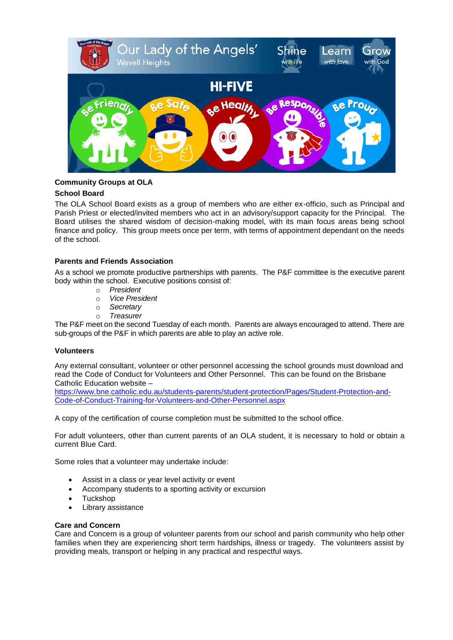

## **Community Groups at OLA**

## **School Board**

The OLA School Board exists as a group of members who are either ex-officio, such as Principal and Parish Priest or elected/invited members who act in an advisory/support capacity for the Principal. The Board utilises the shared wisdom of decision-making model, with its main focus areas being school finance and policy. This group meets once per term, with terms of appointment dependant on the needs of the school.

## **Parents and Friends Association**

As a school we promote productive partnerships with parents. The P&F committee is the executive parent body within the school. Executive positions consist of:

- o *President*
- o *Vice President*
- o *Secretary*
- o *Treasurer*

The P&F meet on the second Tuesday of each month. Parents are always encouraged to attend. There are sub-groups of the P&F in which parents are able to play an active role.

## **Volunteers**

Any external consultant, volunteer or other personnel accessing the school grounds must download and read the Code of Conduct for Volunteers and Other Personnel. This can be found on the Brisbane Catholic Education website –

[https://www.bne.catholic.edu.au/students-parents/student-protection/Pages/Student-Protection-and-](https://www.bne.catholic.edu.au/students-parents/student-protection/Pages/Student-Protection-and-Code-of-Conduct-Training-for-Volunteers-and-Other-Personnel.aspx)[Code-of-Conduct-Training-for-Volunteers-and-Other-Personnel.aspx](https://www.bne.catholic.edu.au/students-parents/student-protection/Pages/Student-Protection-and-Code-of-Conduct-Training-for-Volunteers-and-Other-Personnel.aspx)

A copy of the certification of course completion must be submitted to the school office.

For adult volunteers, other than current parents of an OLA student, it is necessary to hold or obtain a current Blue Card.

Some roles that a volunteer may undertake include:

- Assist in a class or year level activity or event
- Accompany students to a sporting activity or excursion
- Tuckshop
- Library assistance

#### **Care and Concern**

Care and Concern is a group of volunteer parents from our school and parish community who help other families when they are experiencing short term hardships, illness or tragedy. The volunteers assist by providing meals, transport or helping in any practical and respectful ways.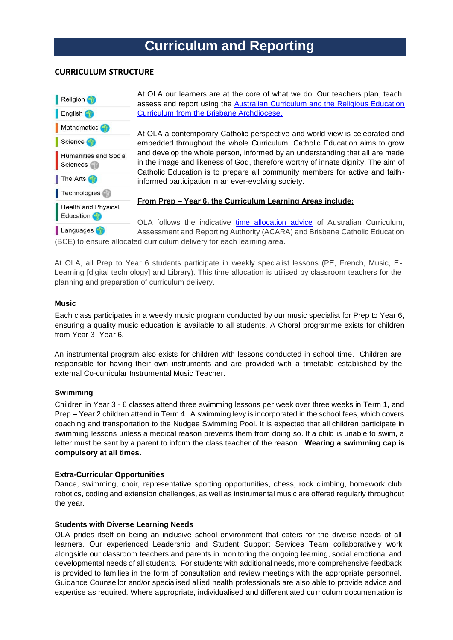# **Curriculum and Reporting**

## **CURRICULUM STRUCTURE**



At OLA our learners are at the core of what we do. Our teachers plan, teach, assess and report using the [Australian Curriculum and the Religious Education](https://curriculum.bne.catholic.edu.au/)  [Curriculum from the Brisbane Archdiocese.](https://curriculum.bne.catholic.edu.au/)

At OLA a contemporary Catholic perspective and world view is celebrated and embedded throughout the whole Curriculum. Catholic Education aims to grow and develop the whole person, informed by an understanding that all are made in the image and likeness of God, therefore worthy of innate dignity. The aim of Catholic Education is to prepare all community members for active and faithinformed participation in an ever-evolving society.

**From Prep – Year 6, the Curriculum Learning Areas include:**

OLA follows the indicative [time allocation advice](https://kweb.bne.catholic.edu.au/LandT/LearningTeaching/Planning/Documents/ADVICE%20PROVIDED%20T%20O%20SCHOOLS%20ABOUT%20INDICATIVE%20TIME%20ALLOCATIONS.pdf) of Australian Curriculum, Assessment and Reporting Authority (ACARA) and Brisbane Catholic Education (BCE) to ensure allocated curriculum delivery for each learning area.

At OLA, all Prep to Year 6 students participate in weekly specialist lessons (PE, French, Music, E-Learning [digital technology] and Library). This time allocation is utilised by classroom teachers for the planning and preparation of curriculum delivery.

## **Music**

Each class participates in a weekly music program conducted by our music specialist for Prep to Year 6, ensuring a quality music education is available to all students. A Choral programme exists for children from Year 3- Year 6.

An instrumental program also exists for children with lessons conducted in school time. Children are responsible for having their own instruments and are provided with a timetable established by the external Co-curricular Instrumental Music Teacher.

## **Swimming**

Children in Year 3 - 6 classes attend three swimming lessons per week over three weeks in Term 1, and Prep – Year 2 children attend in Term 4. A swimming levy is incorporated in the school fees, which covers coaching and transportation to the Nudgee Swimming Pool. It is expected that all children participate in swimming lessons unless a medical reason prevents them from doing so. If a child is unable to swim, a letter must be sent by a parent to inform the class teacher of the reason. **Wearing a swimming cap is compulsory at all times.**

## **Extra-Curricular Opportunities**

Dance, swimming, choir, representative sporting opportunities, chess, rock climbing, homework club, robotics, coding and extension challenges, as well as instrumental music are offered regularly throughout the year.

## **Students with Diverse Learning Needs**

OLA prides itself on being an inclusive school environment that caters for the diverse needs of all learners. Our experienced Leadership and Student Support Services Team collaboratively work alongside our classroom teachers and parents in monitoring the ongoing learning, social emotional and developmental needs of all students. For students with additional needs, more comprehensive feedback is provided to families in the form of consultation and review meetings with the appropriate personnel. Guidance Counsellor and/or specialised allied health professionals are also able to provide advice and expertise as required. Where appropriate, individualised and differentiated curriculum documentation is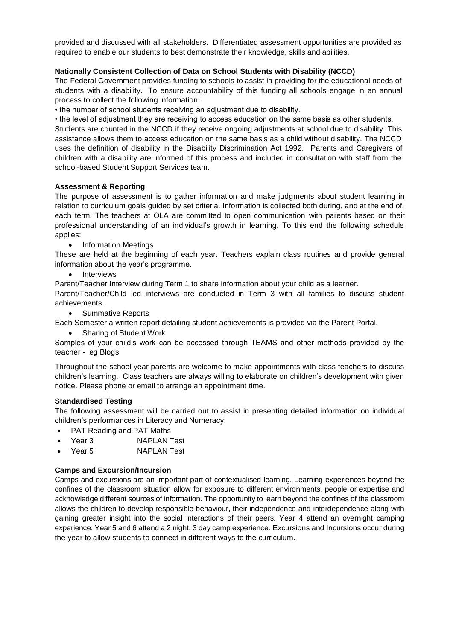provided and discussed with all stakeholders. Differentiated assessment opportunities are provided as required to enable our students to best demonstrate their knowledge, skills and abilities.

## **Nationally Consistent Collection of Data on School Students with Disability (NCCD)**

The Federal Government provides funding to schools to assist in providing for the educational needs of students with a disability. To ensure accountability of this funding all schools engage in an annual process to collect the following information:

• the number of school students receiving an adjustment due to disability.

• the level of adjustment they are receiving to access education on the same basis as other students. Students are counted in the NCCD if they receive ongoing adjustments at school due to disability. This assistance allows them to access education on the same basis as a child without disability. The NCCD uses the definition of disability in the Disability Discrimination Act 1992. Parents and Caregivers of children with a disability are informed of this process and included in consultation with staff from the school-based Student Support Services team.

#### **Assessment & Reporting**

The purpose of assessment is to gather information and make judgments about student learning in relation to curriculum goals guided by set criteria. Information is collected both during, and at the end of, each term. The teachers at OLA are committed to open communication with parents based on their professional understanding of an individual's growth in learning. To this end the following schedule applies:

• Information Meetings

These are held at the beginning of each year. Teachers explain class routines and provide general information about the year's programme.

• Interviews

Parent/Teacher Interview during Term 1 to share information about your child as a learner.

Parent/Teacher/Child led interviews are conducted in Term 3 with all families to discuss student achievements.

• Summative Reports

Each Semester a written report detailing student achievements is provided via the Parent Portal.

• Sharing of Student Work

Samples of your child's work can be accessed through TEAMS and other methods provided by the teacher - eg Blogs

Throughout the school year parents are welcome to make appointments with class teachers to discuss children's learning. Class teachers are always willing to elaborate on children's development with given notice. Please phone or email to arrange an appointment time.

#### **Standardised Testing**

The following assessment will be carried out to assist in presenting detailed information on individual children's performances in Literacy and Numeracy:

- PAT Reading and PAT Maths
- Year 3 NAPLAN Test
- Year 5 NAPLAN Test

#### **Camps and Excursion/Incursion**

Camps and excursions are an important part of contextualised learning. Learning experiences beyond the confines of the classroom situation allow for exposure to different environments, people or expertise and acknowledge different sources of information. The opportunity to learn beyond the confines of the classroom allows the children to develop responsible behaviour, their independence and interdependence along with gaining greater insight into the social interactions of their peers. Year 4 attend an overnight camping experience. Year 5 and 6 attend a 2 night, 3 day camp experience. Excursions and Incursions occur during the year to allow students to connect in different ways to the curriculum.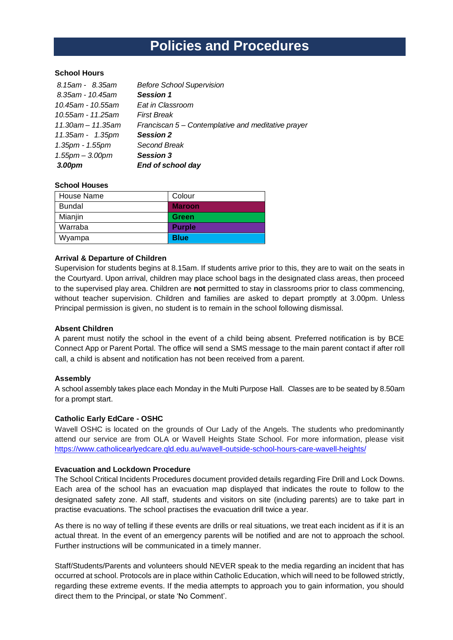# **Policies and Procedures**

## **School Hours**

| 8.15am - 8.35am       | <b>Before School Supervision</b>                   |
|-----------------------|----------------------------------------------------|
| 8.35am - 10.45am      | <b>Session 1</b>                                   |
| 10.45am - 10.55am     | Eat in Classroom                                   |
| 10.55am - 11.25am     | <b>First Break</b>                                 |
| 11.30am - 11.35am     | Franciscan 5 – Contemplative and meditative prayer |
| 11.35am - 1.35pm      | <b>Session 2</b>                                   |
| 1.35pm - 1.55pm       | Second Break                                       |
| $1.55$ pm $- 3.00$ pm | <b>Session 3</b>                                   |
| 3.00pm                | End of school day                                  |

#### **School Houses**

| House Name    | Colour        |
|---------------|---------------|
| <b>Bundal</b> | <b>Maroon</b> |
| Mianjin       | Green         |
| Warraba       | <b>Purple</b> |
| Wyampa        | <b>Blue</b>   |

#### **Arrival & Departure of Children**

Supervision for students begins at 8.15am. If students arrive prior to this, they are to wait on the seats in the Courtyard. Upon arrival, children may place school bags in the designated class areas, then proceed to the supervised play area. Children are **not** permitted to stay in classrooms prior to class commencing, without teacher supervision. Children and families are asked to depart promptly at 3.00pm. Unless Principal permission is given, no student is to remain in the school following dismissal.

#### **Absent Children**

A parent must notify the school in the event of a child being absent. Preferred notification is by BCE Connect App or Parent Portal. The office will send a SMS message to the main parent contact if after roll call, a child is absent and notification has not been received from a parent.

#### **Assembly**

A school assembly takes place each Monday in the Multi Purpose Hall. Classes are to be seated by 8.50am for a prompt start.

#### **Catholic Early EdCare - OSHC**

Wavell OSHC is located on the grounds of Our Lady of the Angels. The students who predominantly attend our service are from OLA or Wavell Heights State School. For more information, please visit <https://www.catholicearlyedcare.qld.edu.au/wavell-outside-school-hours-care-wavell-heights/>

#### **Evacuation and Lockdown Procedure**

The School Critical Incidents Procedures document provided details regarding Fire Drill and Lock Downs. Each area of the school has an evacuation map displayed that indicates the route to follow to the designated safety zone. All staff, students and visitors on site (including parents) are to take part in practise evacuations. The school practises the evacuation drill twice a year.

As there is no way of telling if these events are drills or real situations, we treat each incident as if it is an actual threat. In the event of an emergency parents will be notified and are not to approach the school. Further instructions will be communicated in a timely manner.

Staff/Students/Parents and volunteers should NEVER speak to the media regarding an incident that has occurred at school. Protocols are in place within Catholic Education, which will need to be followed strictly, regarding these extreme events. If the media attempts to approach you to gain information, you should direct them to the Principal, or state 'No Comment'.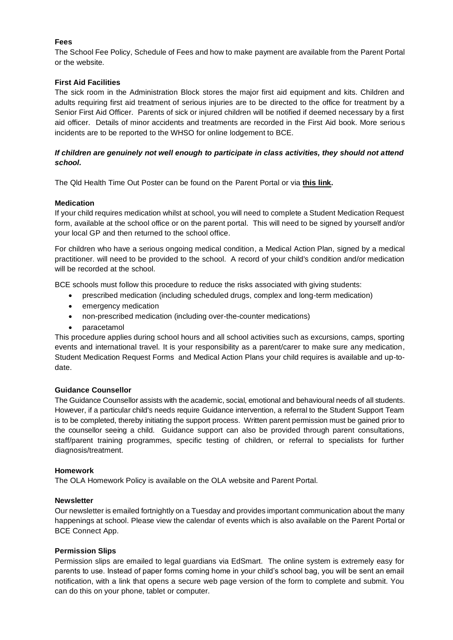## **Fees**

The School Fee Policy, Schedule of Fees and how to make payment are available from the Parent Portal or the website.

## **First Aid Facilities**

The sick room in the Administration Block stores the major first aid equipment and kits. Children and adults requiring first aid treatment of serious injuries are to be directed to the office for treatment by a Senior First Aid Officer. Parents of sick or injured children will be notified if deemed necessary by a first aid officer. Details of minor accidents and treatments are recorded in the First Aid book. More serious incidents are to be reported to the WHSO for online lodgement to BCE.

## *If children are genuinely not well enough to participate in class activities, they should not attend school.*

The Qld Health Time Out Poster can be found on the Parent Portal or via **[this link.](https://www.health.qld.gov.au/__data/assets/pdf_file/0022/426820/timeout_poster.pdf)**

## **Medication**

If your child requires medication whilst at school, you will need to complete a Student Medication Request form, available at the school office or on the parent portal. This will need to be signed by yourself and/or your local GP and then returned to the school office.

For children who have a serious ongoing medical condition, a Medical Action Plan, signed by a medical practitioner. will need to be provided to the school. A record of your child's condition and/or medication will be recorded at the school.

BCE schools must follow this procedure to reduce the risks associated with giving students:

- prescribed medication (including scheduled drugs, complex and long-term medication)
- emergency medication
- non-prescribed medication (including over-the-counter medications)
- paracetamol

This procedure applies during school hours and all school activities such as excursions, camps, sporting events and international travel. It is your responsibility as a parent/carer to make sure any medication, Student Medication Request Forms and Medical Action Plans your child requires is available and up-todate.

## **Guidance Counsellor**

The Guidance Counsellor assists with the academic, social, emotional and behavioural needs of all students. However, if a particular child's needs require Guidance intervention, a referral to the Student Support Team is to be completed, thereby initiating the support process. Written parent permission must be gained prior to the counsellor seeing a child. Guidance support can also be provided through parent consultations, staff/parent training programmes, specific testing of children, or referral to specialists for further diagnosis/treatment.

## **Homework**

The OLA Homework Policy is available on the OLA website and Parent Portal.

## **Newsletter**

Our newsletter is emailed fortnightly on a Tuesday and provides important communication about the many happenings at school. Please view the calendar of events which is also available on the Parent Portal or BCE Connect App.

#### **Permission Slips**

Permission slips are emailed to legal guardians via EdSmart. The online system is extremely easy for parents to use. Instead of paper forms coming home in your child's school bag, you will be sent an email notification, with a link that opens a secure web page version of the form to complete and submit. You can do this on your phone, tablet or computer.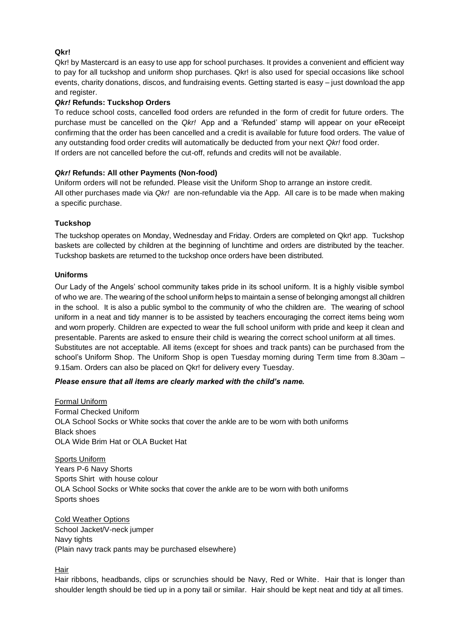## **Qkr!**

Qkr! by Mastercard is an easy to use app for school purchases. It provides a convenient and efficient way to pay for all tuckshop and uniform shop purchases. Qkr! is also used for special occasions like school events, charity donations, discos, and fundraising events. Getting started is easy – just download the app and register.

## *Qkr!* **Refunds: Tuckshop Orders**

To reduce school costs, cancelled food orders are refunded in the form of credit for future orders. The purchase must be cancelled on the *Qkr!* App and a 'Refunded' stamp will appear on your eReceipt confirming that the order has been cancelled and a credit is available for future food orders. The value of any outstanding food order credits will automatically be deducted from your next *Qkr!* food order. If orders are not cancelled before the cut-off, refunds and credits will not be available.

## *Qkr!* **Refunds: All other Payments (Non-food)**

Uniform orders will not be refunded. Please visit the Uniform Shop to arrange an instore credit. All other purchases made via *Qkr!* are non-refundable via the App. All care is to be made when making a specific purchase.

## **Tuckshop**

The tuckshop operates on Monday, Wednesday and Friday. Orders are completed on Qkr! app. Tuckshop baskets are collected by children at the beginning of lunchtime and orders are distributed by the teacher. Tuckshop baskets are returned to the tuckshop once orders have been distributed.

## **Uniforms**

Our Lady of the Angels' school community takes pride in its school uniform. It is a highly visible symbol of who we are. The wearing of the school uniform helps to maintain a sense of belonging amongst all children in the school. It is also a public symbol to the community of who the children are. The wearing of school uniform in a neat and tidy manner is to be assisted by teachers encouraging the correct items being worn and worn properly. Children are expected to wear the full school uniform with pride and keep it clean and presentable. Parents are asked to ensure their child is wearing the correct school uniform at all times. Substitutes are not acceptable. All items (except for shoes and track pants) can be purchased from the school's Uniform Shop. The Uniform Shop is open Tuesday morning during Term time from 8.30am – 9.15am. Orders can also be placed on Qkr! for delivery every Tuesday.

## *Please ensure that all items are clearly marked with the child's name.*

Formal Uniform Formal Checked Uniform OLA School Socks or White socks that cover the ankle are to be worn with both uniforms Black shoes OLA Wide Brim Hat or OLA Bucket Hat

Sports Uniform Years P-6 Navy Shorts Sports Shirt with house colour OLA School Socks or White socks that cover the ankle are to be worn with both uniforms Sports shoes

Cold Weather Options School Jacket/V-neck jumper Navy tights (Plain navy track pants may be purchased elsewhere)

Hair

Hair ribbons, headbands, clips or scrunchies should be Navy, Red or White. Hair that is longer than shoulder length should be tied up in a pony tail or similar. Hair should be kept neat and tidy at all times.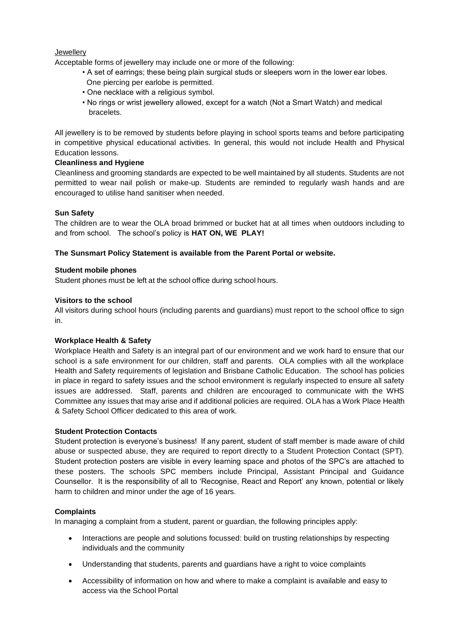**Jewellery** 

Acceptable forms of jewellery may include one or more of the following:

- A set of earrings; these being plain surgical studs or sleepers worn in the lower ear lobes. One piercing per earlobe is permitted.
- One necklace with a religious symbol.
- No rings or wrist jewellery allowed, except for a watch (Not a Smart Watch) and medical bracelets.

All jewellery is to be removed by students before playing in school sports teams and before participating in competitive physical educational activities. In general, this would not include Health and Physical Education lessons.

## **Cleanliness and Hygiene**

Cleanliness and grooming standards are expected to be well maintained by all students. Students are not permitted to wear nail polish or make-up. Students are reminded to regularly wash hands and are encouraged to utilise hand sanitiser when needed.

## **Sun Safety**

The children are to wear the OLA broad brimmed or bucket hat at all times when outdoors including to and from school. The school's policy is **HAT ON, WE PLAY!** 

## **The Sunsmart Policy Statement is available from the Parent Portal or website.**

## **Student mobile phones**

Student phones must be left at the school office during school hours.

## **Visitors to the school**

All visitors during school hours (including parents and guardians) must report to the school office to sign in.

## **Workplace Health & Safety**

Workplace Health and Safety is an integral part of our environment and we work hard to ensure that our school is a safe environment for our children, staff and parents. OLA complies with all the workplace Health and Safety requirements of legislation and Brisbane Catholic Education. The school has policies in place in regard to safety issues and the school environment is regularly inspected to ensure all safety issues are addressed. Staff, parents and children are encouraged to communicate with the WHS Committee any issues that may arise and if additional policies are required. OLA has a Work Place Health & Safety School Officer dedicated to this area of work.

## **Student Protection Contacts**

Student protection is everyone's business! If any parent, student of staff member is made aware of child abuse or suspected abuse, they are required to report directly to a Student Protection Contact (SPT). Student protection posters are visible in every learning space and photos of the SPC's are attached to these posters. The schools SPC members include Principal, Assistant Principal and Guidance Counsellor. It is the responsibility of all to 'Recognise, React and Report' any known, potential or likely harm to children and minor under the age of 16 years.

## **Complaints**

In managing a complaint from a student, parent or guardian, the following principles apply:

- Interactions are people and solutions focussed: build on trusting relationships by respecting individuals and the community
- Understanding that students, parents and guardians have a right to voice complaints
- Accessibility of information on how and where to make a complaint is available and easy to access via the School Portal